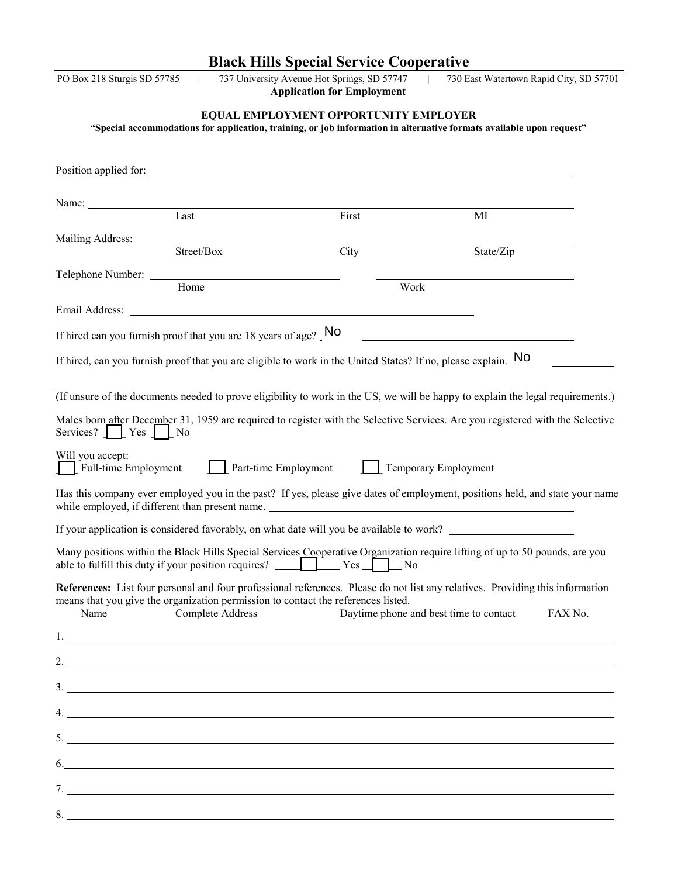|                                                                 | <b>Black Hills Special Service Cooperative</b>                                                                                                                                                                                                                                                                         |                                        |                                         |
|-----------------------------------------------------------------|------------------------------------------------------------------------------------------------------------------------------------------------------------------------------------------------------------------------------------------------------------------------------------------------------------------------|----------------------------------------|-----------------------------------------|
| PO Box 218 Sturgis SD 57785                                     | 737 University Avenue Hot Springs, SD 57747<br><b>Application for Employment</b>                                                                                                                                                                                                                                       |                                        | 730 East Watertown Rapid City, SD 57701 |
|                                                                 | EQUAL EMPLOYMENT OPPORTUNITY EMPLOYER<br>"Special accommodations for application, training, or job information in alternative formats available upon request"                                                                                                                                                          |                                        |                                         |
|                                                                 | Position applied for:                                                                                                                                                                                                                                                                                                  |                                        |                                         |
| Name:                                                           |                                                                                                                                                                                                                                                                                                                        |                                        |                                         |
| Last                                                            | First                                                                                                                                                                                                                                                                                                                  | MI                                     |                                         |
| Mailing Address: ______<br>Street/Box                           | City                                                                                                                                                                                                                                                                                                                   |                                        | State/Zip                               |
| Telephone Number:                                               |                                                                                                                                                                                                                                                                                                                        |                                        |                                         |
| Home                                                            |                                                                                                                                                                                                                                                                                                                        | Work                                   |                                         |
|                                                                 | Email Address: The Contract of the Contract of the Contract of the Contract of the Contract of the Contract of the Contract of the Contract of the Contract of the Contract of the Contract of the Contract of the Contract of                                                                                         |                                        |                                         |
| If hired can you furnish proof that you are 18 years of age? NO |                                                                                                                                                                                                                                                                                                                        |                                        |                                         |
|                                                                 | If hired, can you furnish proof that you are eligible to work in the United States? If no, please explain. No                                                                                                                                                                                                          |                                        |                                         |
|                                                                 | (If unsure of the documents needed to prove eligibility to work in the US, we will be happy to explain the legal requirements.)                                                                                                                                                                                        |                                        |                                         |
| Services? $\Box$ Yes $\Box$ No                                  | Males born after December 31, 1959 are required to register with the Selective Services. Are you registered with the Selective                                                                                                                                                                                         |                                        |                                         |
| Will you accept:<br>Full-time Employment                        | <b>Part-time Employment</b>                                                                                                                                                                                                                                                                                            | Temporary Employment                   |                                         |
|                                                                 | Has this company ever employed you in the past? If yes, please give dates of employment, positions held, and state your name                                                                                                                                                                                           |                                        |                                         |
|                                                                 | If your application is considered favorably, on what date will you be available to work?                                                                                                                                                                                                                               |                                        |                                         |
|                                                                 | Many positions within the Black Hills Special Services Cooperative Organization require lifting of up to 50 pounds, are you<br>able to fulfill this duty if your position requires? Ves No                                                                                                                             |                                        |                                         |
| Name                                                            | References: List four personal and four professional references. Please do not list any relatives. Providing this information<br>means that you give the organization permission to contact the references listed.<br>Complete Address                                                                                 | Daytime phone and best time to contact | FAX No.                                 |
|                                                                 | 1.                                                                                                                                                                                                                                                                                                                     |                                        |                                         |
|                                                                 | 2. $\frac{1}{2}$ $\frac{1}{2}$ $\frac{1}{2}$ $\frac{1}{2}$ $\frac{1}{2}$ $\frac{1}{2}$ $\frac{1}{2}$ $\frac{1}{2}$ $\frac{1}{2}$ $\frac{1}{2}$ $\frac{1}{2}$ $\frac{1}{2}$ $\frac{1}{2}$ $\frac{1}{2}$ $\frac{1}{2}$ $\frac{1}{2}$ $\frac{1}{2}$ $\frac{1}{2}$ $\frac{1}{2}$ $\frac{1}{2}$ $\frac{1}{2}$ $\frac{1}{2}$ |                                        |                                         |
|                                                                 | $\frac{1}{2}$                                                                                                                                                                                                                                                                                                          |                                        |                                         |
|                                                                 | 4.                                                                                                                                                                                                                                                                                                                     |                                        |                                         |
|                                                                 | 5.                                                                                                                                                                                                                                                                                                                     |                                        |                                         |
|                                                                 | 6.                                                                                                                                                                                                                                                                                                                     |                                        |                                         |
|                                                                 | $\frac{1}{2}$                                                                                                                                                                                                                                                                                                          |                                        |                                         |
| 8.                                                              |                                                                                                                                                                                                                                                                                                                        |                                        |                                         |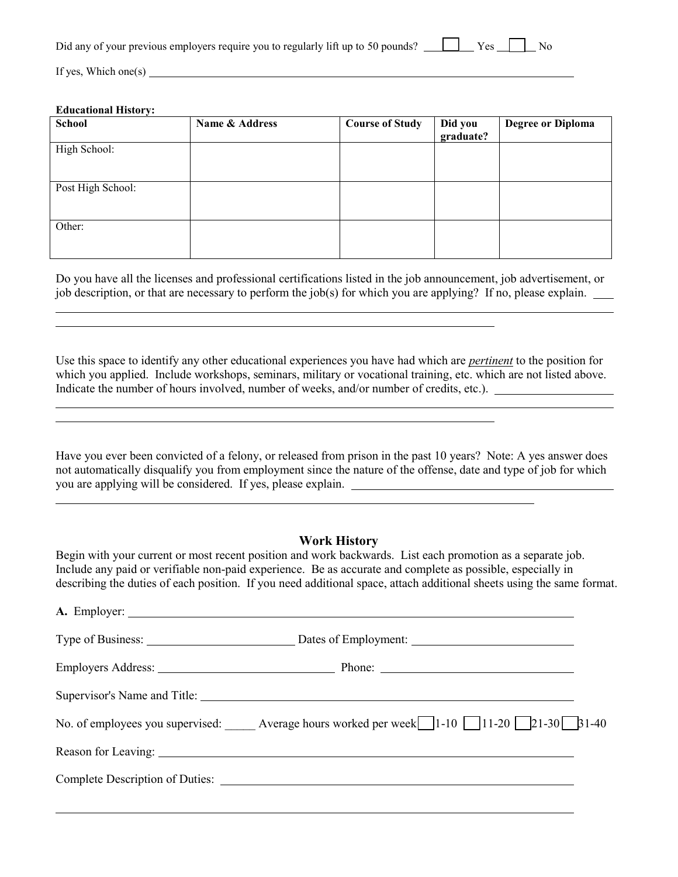| Did any of your previous employers require you to regularly lift up to 50 pounds? |  |  | $Yes$ No |  |
|-----------------------------------------------------------------------------------|--|--|----------|--|
|-----------------------------------------------------------------------------------|--|--|----------|--|

If yes, Which one(s)

#### **Educational History:**

| <b>School</b>     | Name & Address | <b>Course of Study</b> | Did you<br>graduate? | <b>Degree or Diploma</b> |
|-------------------|----------------|------------------------|----------------------|--------------------------|
| High School:      |                |                        |                      |                          |
| Post High School: |                |                        |                      |                          |
| Other:            |                |                        |                      |                          |

Do you have all the licenses and professional certifications listed in the job announcement, job advertisement, or job description, or that are necessary to perform the job(s) for which you are applying? If no, please explain. <u> 1999 - Johann Stoff, amerikansk politiker (d. 1989)</u>

Use this space to identify any other educational experiences you have had which are *pertinent* to the position for which you applied. Include workshops, seminars, military or vocational training, etc. which are not listed above. Indicate the number of hours involved, number of weeks, and/or number of credits, etc.).

Have you ever been convicted of a felony, or released from prison in the past 10 years? Note: A yes answer does not automatically disqualify you from employment since the nature of the offense, date and type of job for which you are applying will be considered. If yes, please explain.

#### **Work History**

Begin with your current or most recent position and work backwards. List each promotion as a separate job. Include any paid or verifiable non-paid experience. Be as accurate and complete as possible, especially in describing the duties of each position. If you need additional space, attach additional sheets using the same format.

| No. of employees you supervised: Average hours worked per week $\boxed{1-10}$ 11-20 $\boxed{21-30}$ 31-40                                                                                                                      |  |
|--------------------------------------------------------------------------------------------------------------------------------------------------------------------------------------------------------------------------------|--|
| Reason for Leaving: University of the contract of the contract of the contract of the contract of the contract of the contract of the contract of the contract of the contract of the contract of the contract of the contract |  |
|                                                                                                                                                                                                                                |  |
|                                                                                                                                                                                                                                |  |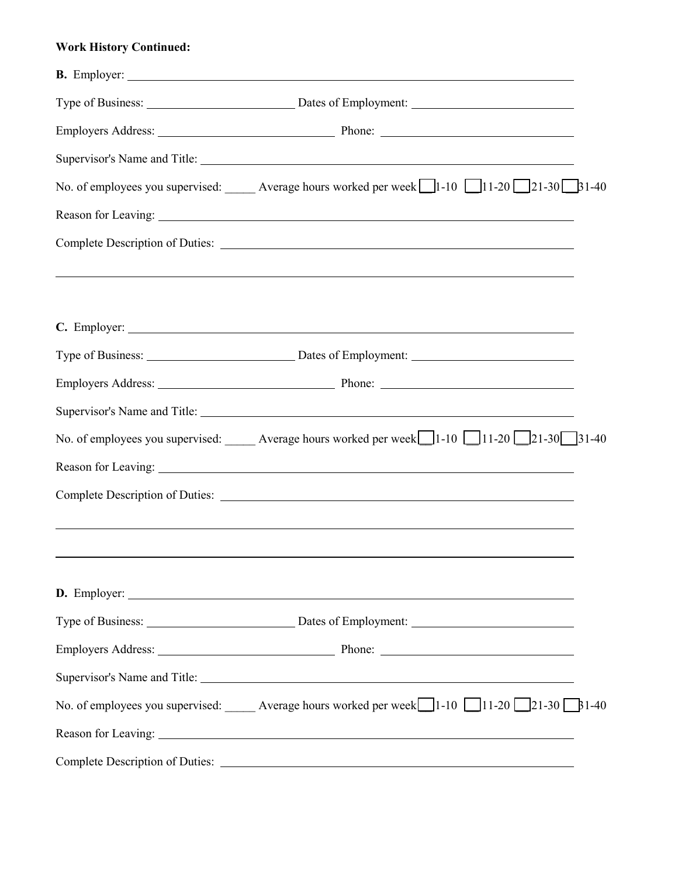# **Work History Continued:**

| <b>B.</b> Employer:                                                                                                                                                                                                                                                                                                                                                                                                       |  |
|---------------------------------------------------------------------------------------------------------------------------------------------------------------------------------------------------------------------------------------------------------------------------------------------------------------------------------------------------------------------------------------------------------------------------|--|
|                                                                                                                                                                                                                                                                                                                                                                                                                           |  |
|                                                                                                                                                                                                                                                                                                                                                                                                                           |  |
|                                                                                                                                                                                                                                                                                                                                                                                                                           |  |
| No. of employees you supervised: ______ Average hours worked per week $\boxed{\underline{\hspace{1cm}}\phantom{\hspace{1cm}}\phantom{\hspace{1cm}}\phantom{\hspace{1cm}}\phantom{\hspace{1cm}}\phantom{\hspace{1cm}}\phantom{\hspace{1cm}}\phantom{\hspace{1cm}}\phantom{\hspace{1cm}}\phantom{\hspace{1cm}}\phantom{\hspace{1cm}}\phantom{\hspace{1cm}}\phantom{\hspace{1cm}}\phantom{\hspace{1cm}}\phantom{\hspace{1cm$ |  |
|                                                                                                                                                                                                                                                                                                                                                                                                                           |  |
|                                                                                                                                                                                                                                                                                                                                                                                                                           |  |
|                                                                                                                                                                                                                                                                                                                                                                                                                           |  |
|                                                                                                                                                                                                                                                                                                                                                                                                                           |  |
|                                                                                                                                                                                                                                                                                                                                                                                                                           |  |
|                                                                                                                                                                                                                                                                                                                                                                                                                           |  |
| No. of employees you supervised: ______ Average hours worked per week $\boxed{11-10}$ $\boxed{11-20}$ $\boxed{21-30}$ $31-40$                                                                                                                                                                                                                                                                                             |  |
|                                                                                                                                                                                                                                                                                                                                                                                                                           |  |
|                                                                                                                                                                                                                                                                                                                                                                                                                           |  |
|                                                                                                                                                                                                                                                                                                                                                                                                                           |  |
|                                                                                                                                                                                                                                                                                                                                                                                                                           |  |
|                                                                                                                                                                                                                                                                                                                                                                                                                           |  |
|                                                                                                                                                                                                                                                                                                                                                                                                                           |  |
|                                                                                                                                                                                                                                                                                                                                                                                                                           |  |
| No. of employees you supervised: ______ Average hours worked per week□1-10 □11-20 □21-30 ■ 1-40                                                                                                                                                                                                                                                                                                                           |  |
|                                                                                                                                                                                                                                                                                                                                                                                                                           |  |
|                                                                                                                                                                                                                                                                                                                                                                                                                           |  |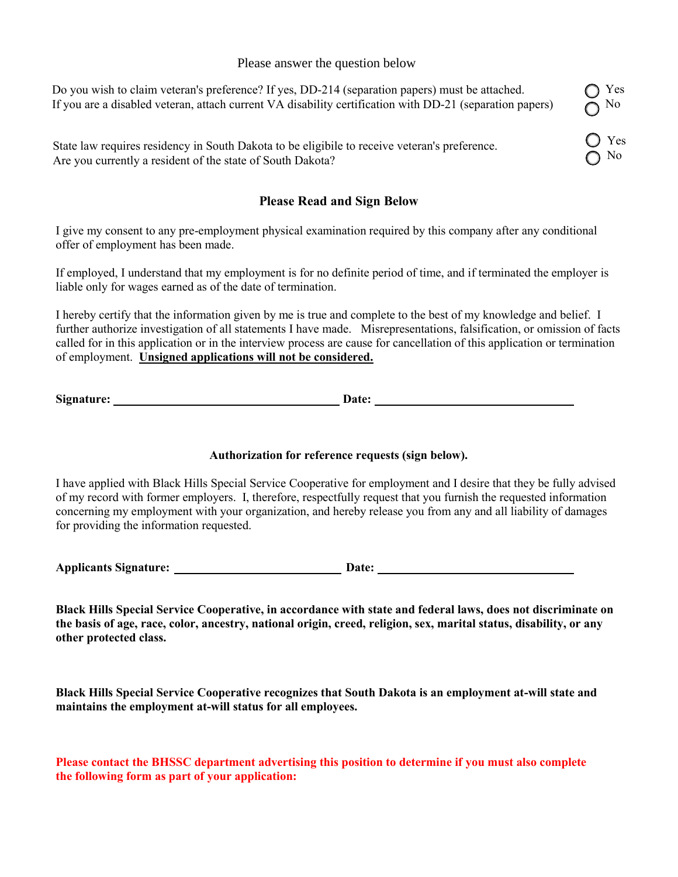#### Please answer the question below

◯ Yes No

> Yes No

Do you wish to claim veteran's preference? If yes, DD-214 (separation papers) must be attached. If you are a disabled veteran, attach current VA disability certification with DD-21 (separation papers)

State law requires residency in South Dakota to be eligibile to receive veteran's preference. Are you currently a resident of the state of South Dakota?

## **Please Read and Sign Below**

I give my consent to any pre-employment physical examination required by this company after any conditional offer of employment has been made.

If employed, I understand that my employment is for no definite period of time, and if terminated the employer is liable only for wages earned as of the date of termination.

I hereby certify that the information given by me is true and complete to the best of my knowledge and belief. I further authorize investigation of all statements I have made. Misrepresentations, falsification, or omission of facts called for in this application or in the interview process are cause for cancellation of this application or termination of employment. **Unsigned applications will not be considered.**

**Signature: Date:** 

## **Authorization for reference requests (sign below).**

I have applied with Black Hills Special Service Cooperative for employment and I desire that they be fully advised of my record with former employers. I, therefore, respectfully request that you furnish the requested information concerning my employment with your organization, and hereby release you from any and all liability of damages for providing the information requested.

**Applicants Signature: Date:** 

**Black Hills Special Service Cooperative, in accordance with state and federal laws, does not discriminate on the basis of age, race, color, ancestry, national origin, creed, religion, sex, marital status, disability, or any other protected class.**

**Black Hills Special Service Cooperative recognizes that South Dakota is an employment at-will state and maintains the employment at-will status for all employees.** 

**Please contact the BHSSC department advertising this position to determine if you must also complete the following form as part of your application:**